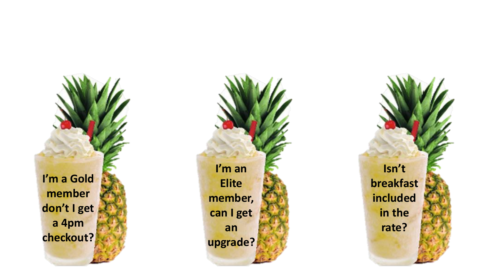**I'm a Gold member don't I get a 4pm checkout?** 

**I'm an Elite member, can I get an upgrade?**

**Isn't breakfast included in the rate?**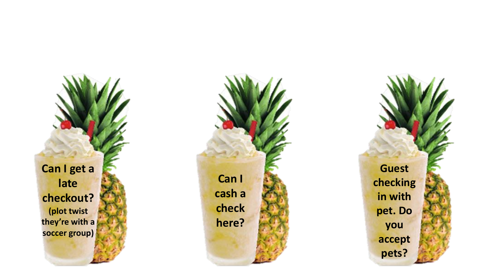**Can I get a late checkout? (plot twist they're with a soccer group)**



**Guest checking in with pet. Do you accept pets?**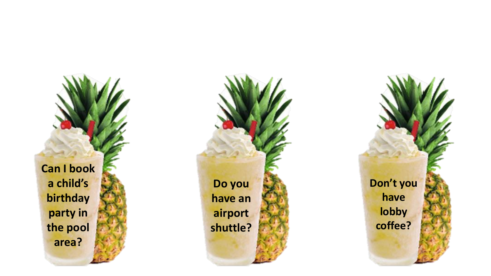**Can I book a child's birthday party in the pool area?**

**Do you have an airport shuttle?**

**Don't you have lobby coffee?**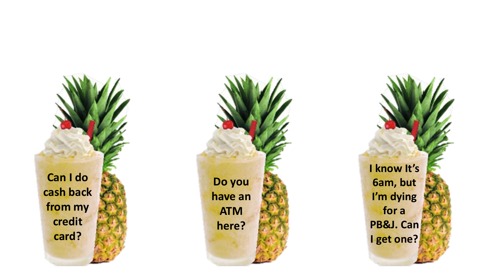**Can I do cash back from my credit card?**



**I know It's 6am, but I'm dying for a PB&J. Can I get one?**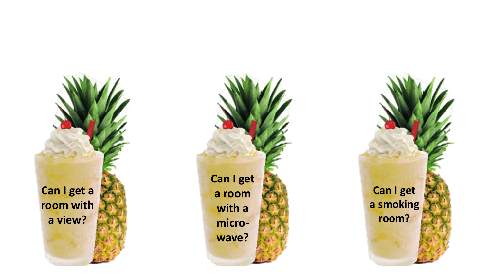**Can I get a room with a view?**



**Can I get a smoking room?**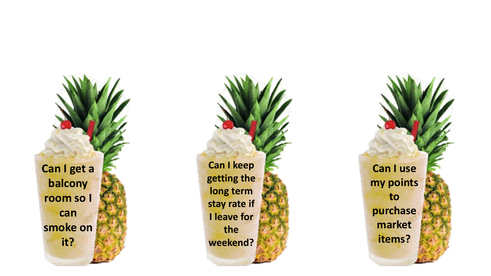**Can I get a balcony room so I can smoke on it?**

**Can I keep getting the long term stay rate if I leave for the weekend?**

**Can I use my points to purchase market items?**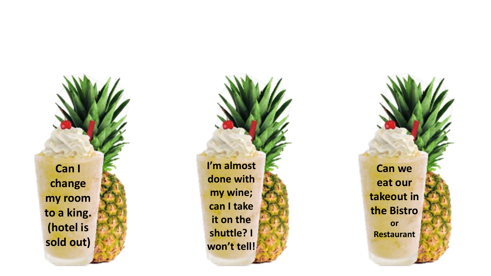**Can I change my room to a king. (hotel is sold out)**

**I'm almost done with my wine; can I take it on the shuttle? I won't tell!**

**Can we eat our takeout in the Bistro or Restaurant**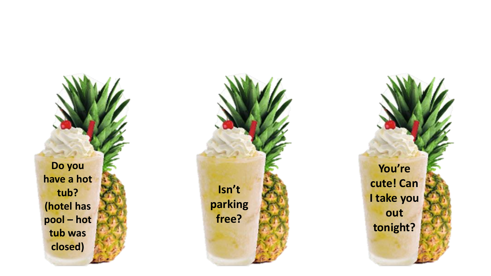**Do you have a hot tub? (hotel has pool – hot tub was closed)**



**You're cute! Can I take you out tonight?**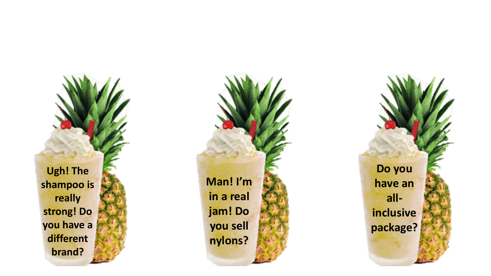**Ugh! The shampoo is really strong! Do you have a different brand?**



**Do you have an all inclusive package?**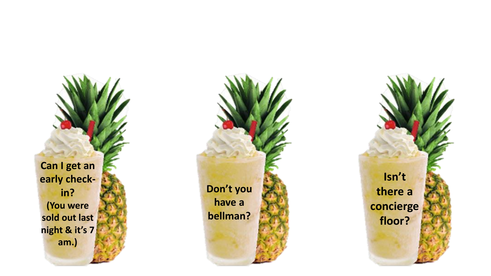**Can I get an early check in? (You were sold out last night & it's 7 am.)**



**Isn't there a concierge floor?**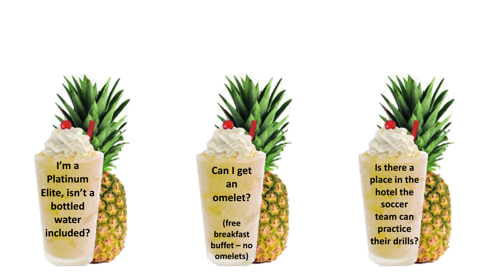**I'm a Platinum Elite, isn't a bottled water included?**



**Is there a place in the hotel the soccer team can practice their drills?**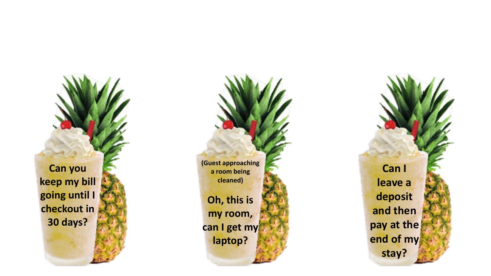**Can you keep my bill going until I checkout in 30 days?** 



**Can I leave a deposit and then pay at the end of my stay?**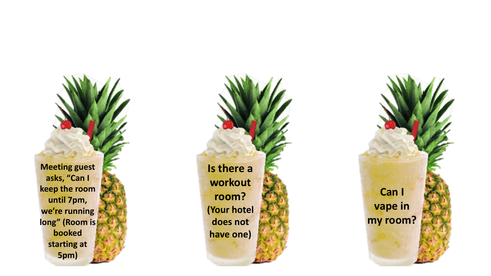**Meeting guest asks, "Can I keep the room until 7pm, we're running long" (Room is booked starting at 5pm)**

**Is there a workout room? (Your hotel does not have one )**

**Can I vape in my room ?**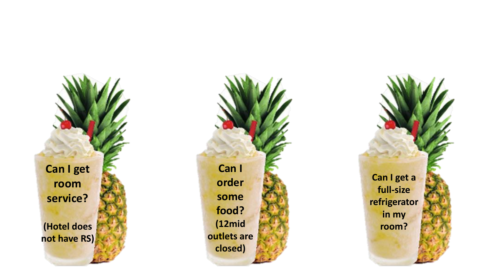**Can I get room service?**

**(Hotel does not have RS)**



**Can I get a full -size refrigerator in my room?**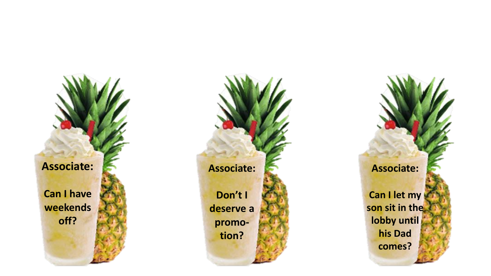**Associate: Can I have weekends off ?**

## **Associate: Don't I deserve a promo tion?**

**Associate:**

**Can I let my son sit in the lobby until his Dad comes?**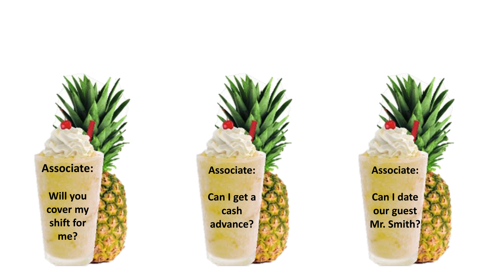**Associate:**

**Will you cover my shift for me?**



**Associate:**

**Can I date our guest Mr. Smith?**